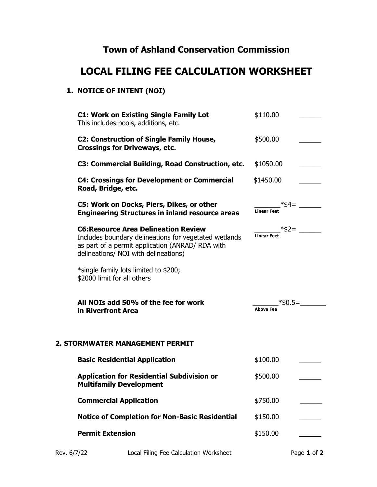## Town of Ashland Conservation Commission

## LOCAL FILING FEE CALCULATION WORKSHEET

## 1. NOTICE OF INTENT (NOI)

| <b>C1: Work on Existing Single Family Lot</b><br>This includes pools, additions, etc.                                                                                                            | \$110.00                              |
|--------------------------------------------------------------------------------------------------------------------------------------------------------------------------------------------------|---------------------------------------|
| <b>C2: Construction of Single Family House,</b><br><b>Crossings for Driveways, etc.</b>                                                                                                          | \$500.00                              |
| C3: Commercial Building, Road Construction, etc.                                                                                                                                                 | \$1050.00                             |
| <b>C4: Crossings for Development or Commercial</b><br>Road, Bridge, etc.                                                                                                                         | \$1450.00                             |
| C5: Work on Docks, Piers, Dikes, or other<br><b>Engineering Structures in inland resource areas</b>                                                                                              | _*\$4= __<br><b>Linear Feet</b>       |
| <b>C6: Resource Area Delineation Review</b><br>Includes boundary delineations for vegetated wetlands<br>as part of a permit application (ANRAD/ RDA with<br>delineations/ NOI with delineations) | $\frac{1}{\text{Linear feet}} * $2 =$ |
| *single family lots limited to \$200;<br>\$2000 limit for all others                                                                                                                             |                                       |
|                                                                                                                                                                                                  |                                       |
| All NOIs add 50% of the fee for work<br>in Riverfront Area                                                                                                                                       | _*\$0.5=_<br><b>Above Fee</b>         |
| 2. STORMWATER MANAGEMENT PERMIT                                                                                                                                                                  |                                       |
| <b>Basic Residential Application</b>                                                                                                                                                             | \$100.00                              |
| <b>Application for Residential Subdivision or</b><br><b>Multifamily Development</b>                                                                                                              | \$500.00                              |
| <b>Commercial Application</b>                                                                                                                                                                    | \$750.00                              |
| <b>Notice of Completion for Non-Basic Residential</b>                                                                                                                                            | \$150.00                              |

Rev. 6/7/22 Local Filing Fee Calculation Worksheet Page 1 of 2